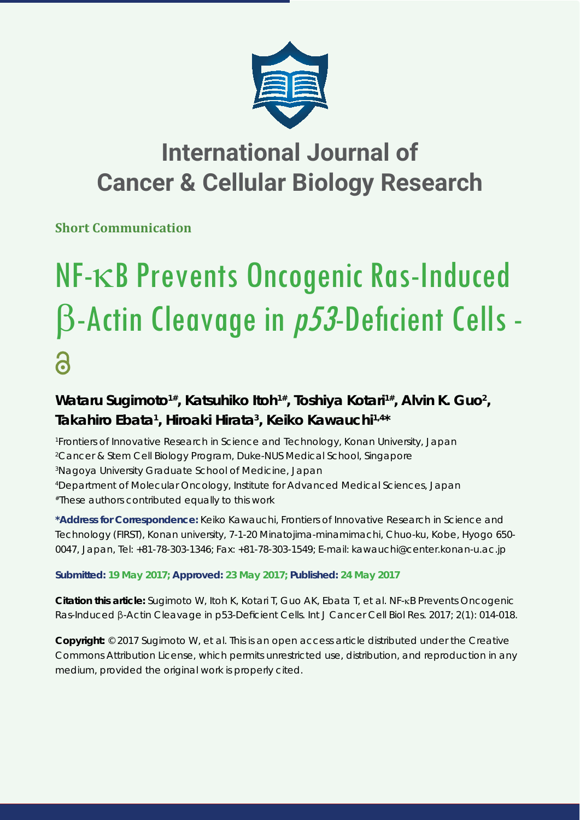

## **International Journal of Cancer & Cellular Biology Research**

**Short Communication**

# NF-KB Prevents Oncogenic Ras-Induced  $\beta$ -Actin Cleavage in  $p53$ -Deficient Cells -6

## Wataru Sugimoto<sup>1#</sup>, Katsuhiko Itoh<sup>1#</sup>, Toshiya Kotari<sup>1#</sup>, Alvin K. Guo<sup>2</sup>, **Takahiro Ebata1 , Hiroaki Hirata3 , Keiko Kawauchi1,4\***

 *Frontiers of Innovative Research in Science and Technology, Konan University, Japan Cancer & Stem Cell Biology Program, Duke-NUS Medical School, Singapore Nagoya University Graduate School of Medicine, Japan Department of Molecular Oncology, Institute for Advanced Medical Sciences, Japan #These authors contributed equally to this work*

**\*Address for Correspondence:** Keiko Kawauchi, Frontiers of Innovative Research in Science and Technology (FIRST), Konan university, 7-1-20 Minatojima-minamimachi, Chuo-ku, Kobe, Hyogo 650- 0047, Japan, Tel: +81-78-303-1346; Fax: +81-78-303-1549; E-mail: kawauchi@center.konan-u.ac.jp

### **Submitted: 19 May 2017; Approved: 23 May 2017; Published: 24 May 2017**

**Citation this article:** Sugimoto W, Itoh K, Kotari T, Guo AK, Ebata T, et al. NF-<sub>KB</sub> Prevents Oncogenic Ras-Induced β-Actin Cleavage in *p53*-Deficient Cells. Int J Cancer Cell Biol Res. 2017; 2(1): 014-018.

**Copyright:** © 2017 Sugimoto W, et al. This is an open access article distributed under the Creative Commons Attribution License, which permits unrestricted use, distribution, and reproduction in any medium, provided the original work is properly cited.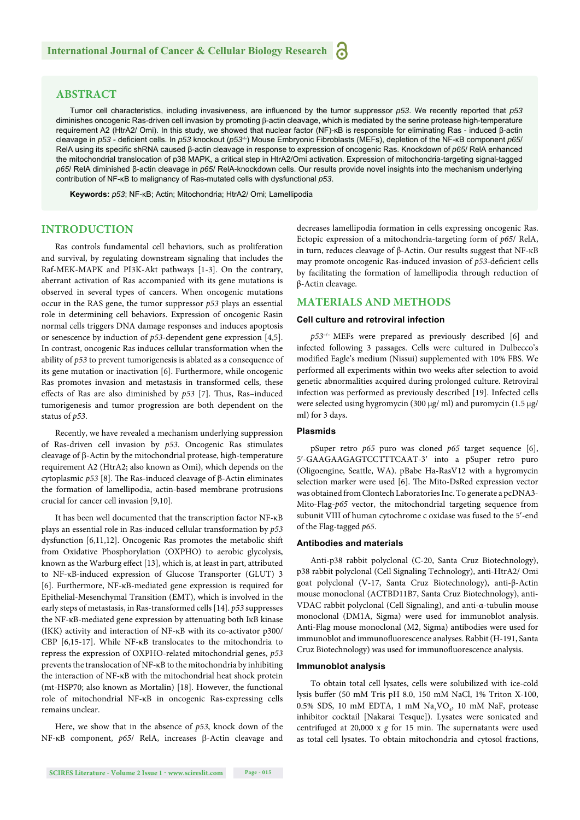#### **ABSTRACT**

Tumor cell characteristics, including invasiveness, are influenced by the tumor suppressor p53. We recently reported that p53 diminishes oncogenic Ras-driven cell invasion by promoting  $\beta$ -actin cleavage, which is mediated by the serine protease high-temperature requirement A2 (HtrA2/ Omi). In this study, we showed that nuclear factor (NF)-κB is responsible for eliminating Ras - induced β-actin cleavage in *p53* - deficient cells. In *p53* knockout (*p53<sup>+</sup>*) Mouse Embryonic Fibroblasts (MEFs), depletion of the NF-κB component *p65/* RelA using its specific shRNA caused β-actin cleavage in response to expression of oncogenic Ras. Knockdown of *p65*/ RelA enhanced the mitochondrial translocation of p38 MAPK, a critical step in HtrA2/Omi activation. Expression of mitochondria-targeting signal-tagged *p65*/ RelA diminished β-actin cleavage in *p65*/ RelA-knockdown cells. Our results provide novel insights into the mechanism underlying contribution of NF-κB to malignancy of Ras-mutated cells with dysfunctional *p53*.

**Keywords:** *p53*; NF-κB; Actin; Mitochondria; HtrA2/ Omi; Lamellipodia

#### **INTRODUCTION**

Ras controls fundamental cell behaviors, such as proliferation and survival, by regulating downstream signaling that includes the Raf-MEK-MAPK and PI3K-Akt pathways [1-3]. On the contrary, aberrant activation of Ras accompanied with its gene mutations is observed in several types of cancers. When oncogenic mutations occur in the RAS gene, the tumor suppressor *p53* plays an essential role in determining cell behaviors. Expression of oncogenic Rasin normal cells triggers DNA damage responses and induces apoptosis or senescence by induction of *p53*-dependent gene expression [4,5]. In contrast, oncogenic Ras induces cellular transformation when the ability of *p53* to prevent tumorigenesis is ablated as a consequence of its gene mutation or inactivation [6]. Furthermore, while oncogenic Ras promotes invasion and metastasis in transformed cells, these effects of Ras are also diminished by  $p53$  [7]. Thus, Ras-induced tumorigenesis and tumor progression are both dependent on the status of *p53*.

Recently, we have revealed a mechanism underlying suppression of Ras-driven cell invasion by *p53*. Oncogenic Ras stimulates cleavage of  $\beta$ -Actin by the mitochondrial protease, high-temperature requirement A2 (HtrA2; also known as Omi), which depends on the cytoplasmic  $p53$  [8]. The Ras-induced cleavage of  $\beta$ -Actin eliminates the formation of lamellipodia, actin-based membrane protrusions crucial for cancer cell invasion [9,10].

It has been well documented that the transcription factor NF-κB plays an essential role in Ras-induced cellular transformation by *p53* dysfunction [6,11,12]. Oncogenic Ras promotes the metabolic shift from Oxidative Phosphorylation (OXPHO) to aerobic glycolysis, known as the Warburg effect [13], which is, at least in part, attributed to NF-κB-induced expression of Glucose Transporter (GLUT) 3 [6]. Furthermore, NF-κB-mediated gene expression is required for Epithelial-Mesenchymal Transition (EMT), which is involved in the early steps of metastasis, in Ras-transformed cells [14]. *p53* suppresses the NF-κB-mediated gene expression by attenuating both IκB kinase (IKK) activity and interaction of NF-κB with its co-activator p300/ CBP [6,15-17]. While NF-κB translocates to the mitochondria to repress the expression of OXPHO-related mitochondrial genes, *p53* prevents the translocation of NF-κB to the mitochondria by inhibiting the interaction of NF-κB with the mitochondrial heat shock protein (mt-HSP70; also known as Mortalin) [18]. However, the functional role of mitochondrial NF-κB in oncogenic Ras-expressing cells remains unclear.

Here, we show that in the absence of *p53*, knock down of the NF-κB component, *p65*/ RelA, increases β-Actin cleavage and decreases lamellipodia formation in cells expressing oncogenic Ras. Ectopic expression of a mitochondria-targeting form of *p65*/ RelA, in turn, reduces cleavage of β-Actin. Our results suggest that NF-κB may promote oncogenic Ras-induced invasion of p53-deficient cells by facilitating the formation of lamellipodia through reduction of β-Actin cleavage.

#### **MATERIALS AND METHODS**

#### **Cell culture and retroviral infection**

*p53*–/– MEFs were prepared as previously described [6] and infected following 3 passages. Cells were cultured in Dulbecco's modified Eagle's medium (Nissui) supplemented with 10% FBS. We performed all experiments within two weeks after selection to avoid genetic abnormalities acquired during prolonged culture. Retroviral infection was performed as previously described [19]. Infected cells were selected using hygromycin (300 μg/ ml) and puromycin (1.5 μg/ ml) for 3 days.

#### **Plasmids**

pSuper retro *p65* puro was cloned *p65* target sequence [6], 5-GAAGAAGAGTCCTTTCAAT-3 into a pSuper retro puro (Oligoengine, Seattle, WA). pBabe Ha-RasV12 with a hygromycin selection marker were used [6]. The Mito-DsRed expression vector was obtained from Clontech Laboratories Inc. To generate a pcDNA3- Mito-Flag-*p65* vector, the mitochondrial targeting sequence from subunit VIII of human cytochrome c oxidase was fused to the 5'-end of the Flag-tagged *p65*.

#### **Antibodies and materials**

Anti-p38 rabbit polyclonal (C-20, Santa Cruz Biotechnology), p38 rabbit polyclonal (Cell Signaling Technology), anti-HtrA2/ Omi goat polyclonal (V-17, Santa Cruz Biotechnology), anti-β-Actin mouse monoclonal (ACTBD11B7, Santa Cruz Biotechnology), anti-VDAC rabbit polyclonal (Cell Signaling), and anti-α-tubulin mouse monoclonal (DM1A, Sigma) were used for immunoblot analysis. Anti-Flag mouse monoclonal (M2, Sigma) antibodies were used for immunoblot and immunofluorescence analyses. Rabbit (H-191, Santa Cruz Biotechnology) was used for immunofluorescence analysis.

#### **Immunoblot analysis**

To obtain total cell lysates, cells were solubilized with ice-cold lysis buffer (50 mM Tris pH 8.0, 150 mM NaCl, 1% Triton X-100, 0.5% SDS, 10 mM EDTA, 1 mM  $\text{Na}_{3}\text{VO}_{4}$ , 10 mM NaF, protease inhibitor cocktail [Nakarai Tesque]). Lysates were sonicated and centrifuged at  $20,000 \times g$  for 15 min. The supernatants were used as total cell lysates. To obtain mitochondria and cytosol fractions,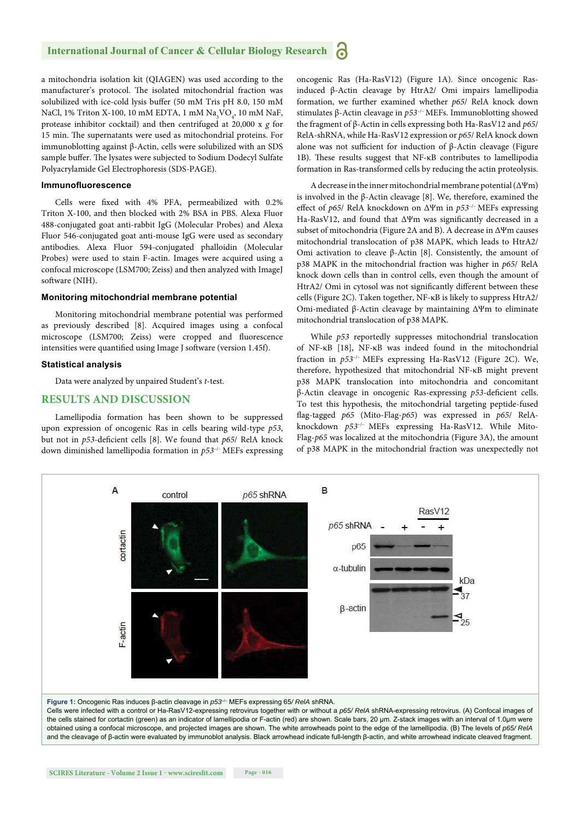#### **International Journal of Cancer & Cellular Biology Research R**

a mitochondria isolation kit (QIAGEN) was used according to the manufacturer's protocol. The isolated mitochondrial fraction was solubilized with ice-cold lysis buffer (50 mM Tris pH 8.0, 150 mM NaCl, 1% Triton X-100, 10 mM EDTA, 1 mM  $\text{Na}_{3}\text{VO}_{4}$ , 10 mM NaF, protease inhibitor cocktail) and then centrifuged at 20,000 x *g* for 15 min. The supernatants were used as mitochondrial proteins. For immunoblotting against β-Actin, cells were solubilized with an SDS sample buffer. The lysates were subjected to Sodium Dodecyl Sulfate Polyacrylamide Gel Electrophoresis (SDS-PAGE).

#### **Immunofl uorescence**

Cells were fixed with 4% PFA, permeabilized with 0.2% Triton X-100, and then blocked with 2% BSA in PBS. Alexa Fluor 488-conjugated goat anti-rabbit IgG (Molecular Probes) and Alexa Fluor 546-conjugated goat anti-mouse IgG were used as secondary antibodies. Alexa Fluor 594-conjugated phalloidin (Molecular Probes) were used to stain F-actin. Images were acquired using a confocal microscope (LSM700; Zeiss) and then analyzed with ImageJ software (NIH).

#### **Monitoring mitochondrial membrane potential**

Monitoring mitochondrial membrane potential was performed as previously described [8]. Acquired images using a confocal microscope (LSM700; Zeiss) were cropped and fluorescence intensities were quantified using Image J software (version 1.45f).

#### **Statistical analysis**

Data were analyzed by unpaired Student's *t*-test.

#### **RESULTS AND DISCUSSION**

Lamellipodia formation has been shown to be suppressed upon expression of oncogenic Ras in cells bearing wild-type *p53*, but not in *p53*-deficient cells [8]. We found that *p65*/ RelA knock down diminished lamellipodia formation in *p53*–/– MEFs expressing oncogenic Ras (Ha-RasV12) (Figure 1A). Since oncogenic Rasinduced β-Actin cleavage by HtrA2/ Omi impairs lamellipodia formation, we further examined whether *p65*/ RelA knock down stimulates β-Actin cleavage in *p53*–/– MEFs. Immunoblotting showed the fragment of β-Actin in cells expressing both Ha-RasV12 and *p65*/ RelA-shRNA, while Ha-RasV12 expression or *p65*/ RelA knock down alone was not sufficient for induction of  $\beta$ -Actin cleavage (Figure 1B). These results suggest that NF-κB contributes to lamellipodia formation in Ras-transformed cells by reducing the actin proteolysis.

A decrease in the inner mitochondrial membrane potential (ΔΨm) is involved in the β-Actin cleavage [8]. We, therefore, examined the eff ect of *p65*/ RelA knockdown on ΔΨm in *p53*–/– MEFs expressing Ha-RasV12, and found that ΔΨm was significantly decreased in a subset of mitochondria (Figure 2A and B). A decrease in ΔΨm causes mitochondrial translocation of p38 MAPK, which leads to HtrA2/ Omi activation to cleave β-Actin [8]. Consistently, the amount of p38 MAPK in the mitochondrial fraction was higher in *p65*/ RelA knock down cells than in control cells, even though the amount of HtrA2/ Omi in cytosol was not significantly different between these cells (Figure 2C). Taken together, NF-κB is likely to suppress HtrA2/ Omi-mediated β-Actin cleavage by maintaining ΔΨm to eliminate mitochondrial translocation of p38 MAPK.

While *p53* reportedly suppresses mitochondrial translocation of NF-κB [18], NF-κB was indeed found in the mitochondrial fraction in  $p53^{-/-}$  MEFs expressing Ha-RasV12 (Figure 2C). We, therefore, hypothesized that mitochondrial NF-κB might prevent p38 MAPK translocation into mitochondria and concomitant β-Actin cleavage in oncogenic Ras-expressing *p53*-deficient cells. To test this hypothesis, the mitochondrial targeting peptide-fused fl ag-tagged *p65* (Mito-Flag-*p65*) was expressed in *p65*/ RelAknockdown *p53*–/– MEFs expressing Ha-RasV12. While Mito-Flag-*p65* was localized at the mitochondria (Figure 3A), the amount of p38 MAPK in the mitochondrial fraction was unexpectedly not



the cells stained for cortactin (green) as an indicator of lamellipodia or F-actin (red) are shown. Scale bars, 20 μm. Z-stack images with an interval of 1.0μm were obtained using a confocal microscope, and projected images are shown. The white arrowheads point to the edge of the lamellipodia. (B) The levels of *p65/ RelA* and the cleavage of β-actin were evaluated by immunoblot analysis. Black arrowhead indicate full-length β-actin, and white arrowhead indicate cleaved fragment.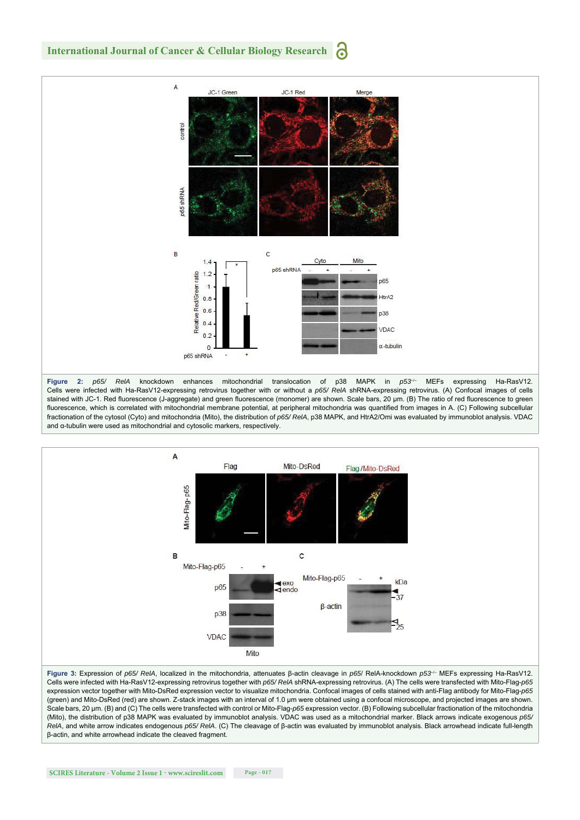#### **International Journal of Cancer & Cellular Biology Research** a



**Figure 2:** *p65/ RelA* knockdown enhances mitochondrial translocation of p38 MAPK in *p53*–/– MEFs expressing Ha-RasV12. Cells were infected with Ha-RasV12-expressing retrovirus together with or without a *p65/ RelA* shRNA-expressing retrovirus. (A) Confocal images of cells stained with JC-1. Red fluorescence (J-aggregate) and green fluorescence (monomer) are shown. Scale bars, 20 μm. (B) The ratio of red fluorescence to green fluorescence, which is correlated with mitochondrial membrane potential, at peripheral mitochondria was quantified from images in A. (C) Following subcellular fractionation of the cytosol (Cyto) and mitochondria (Mito), the distribution of *p65/ RelA*, p38 MAPK, and HtrA2/Omi was evaluated by immunoblot analysis. VDAC and α-tubulin were used as mitochondrial and cytosolic markers, respectively.



**Figure 3:** Expression of *p65/ RelA*, localized in the mitochondria, attenuates β-actin cleavage in *p65*/ RelA-knockdown *p53*–/– MEFs expressing Ha-RasV12. Cells were infected with Ha-RasV12-expressing retrovirus together with *p65/ RelA* shRNA-expressing retrovirus. (A) The cells were transfected with Mito-Flag-*p65* expression vector together with Mito-DsRed expression vector to visualize mitochondria. Confocal images of cells stained with anti-Flag antibody for Mito-Flag-*p65* (green) and Mito-DsRed (red) are shown. Z-stack images with an interval of 1.0 μm were obtained using a confocal microscope, and projected images are shown. Scale bars, 20 μm. (B) and (C) The cells were transfected with control or Mito-Flag-*p65* expression vector. (B) Following subcellular fractionation of the mitochondria (Mito), the distribution of p38 MAPK was evaluated by immunoblot analysis. VDAC was used as a mitochondrial marker. Black arrows indicate exogenous *p65/ RelA*, and white arrow indicates endogenous *p65/ RelA*. (C) The cleavage of β-actin was evaluated by immunoblot analysis. Black arrowhead indicate full-length β-actin, and white arrowhead indicate the cleaved fragment.